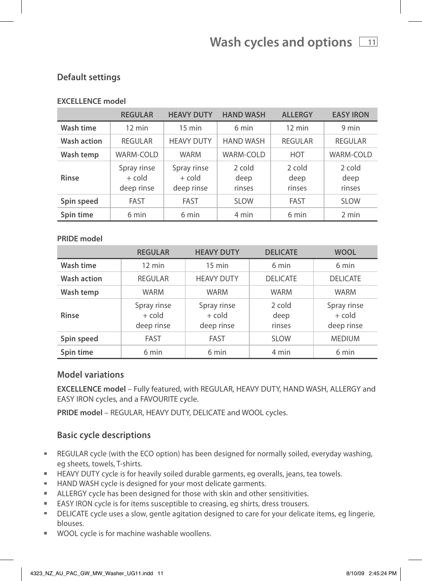### **EXCELLENCE model**

|             | <b>REGULAR</b>                        | <b>HEAVY DUTY</b>                     | <b>HAND WASH</b>         | <b>ALLERGY</b>           | <b>EASY IRON</b>         |
|-------------|---------------------------------------|---------------------------------------|--------------------------|--------------------------|--------------------------|
| Wash time   | $12 \text{ min}$                      | $15 \text{ min}$                      | 6 min                    | $12 \text{ min}$         | 9 min                    |
| Wash action | <b>REGULAR</b>                        | <b>HEAVY DUTY</b>                     | <b>HAND WASH</b>         | <b>REGULAR</b>           | <b>REGULAR</b>           |
| Wash temp   | WARM-COLD                             | <b>WARM</b>                           | WARM-COLD                | <b>HOT</b>               | <b>WARM-COLD</b>         |
| Rinse       | Spray rinse<br>$+$ cold<br>deep rinse | Spray rinse<br>$+$ cold<br>deep rinse | 2 cold<br>deep<br>rinses | 2 cold<br>deep<br>rinses | 2 cold<br>deep<br>rinses |
| Spin speed  | <b>FAST</b>                           | <b>FAST</b>                           | <b>SLOW</b>              | <b>FAST</b>              | <b>SLOW</b>              |
| Spin time   | 6 min                                 | 6 min                                 | 4 min                    | 6 min                    | 2 min                    |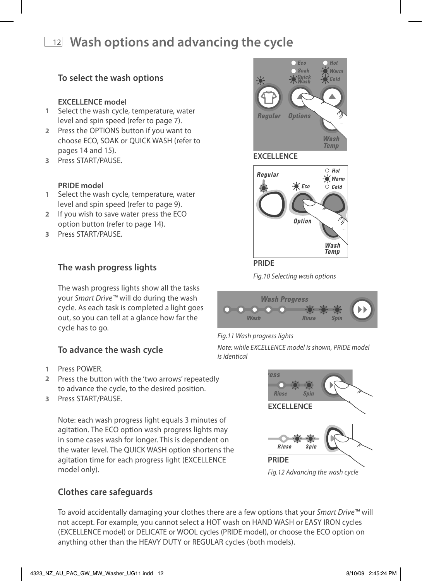**1** Select the wash cycle, temperature, water level and spin speed (refer to page 7). **2** Press the OPTIONS button if you want to choose ECO, SOAK or QUICK WASH (refer to pages 14 and 15). **3** Press START/PAUSE.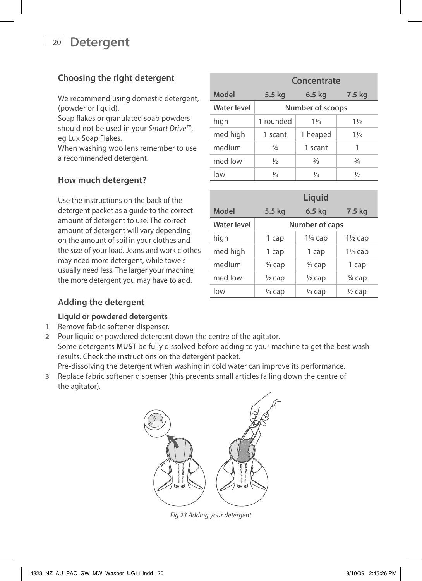# <sup>20</sup> **Detergent**

# **Choosing the right detergent**

We recommend using domestic detergent, (powder or liquid).

Soap flakes or granulated soap powders should not be used in your *Smart Drive™*, eg Lux Soap Flakes.

When washing woollens remember to use a recommended detergent.

## **How much detergent?**

Use the instructions on the back of the detergent packet as a guide to the correct amount of detergent to use. The correct amount of detergent will vary depending on the amount of soil in your clothes and the size of your load. Jeans and work clothes may need more detergent, while towels usually need less. The larger your machine, the more detergent you may have to add.

|             | Concentrate      |                |                |  |  |
|-------------|------------------|----------------|----------------|--|--|
| Model       | 5.5 kg           | 6.5 kg         | 7.5 kg         |  |  |
| Water level | Number of scoops |                |                |  |  |
| high        | 1 rounded        | $1\frac{1}{3}$ | $1\frac{1}{2}$ |  |  |
| med high    | 1 scant          | 1 heaped       | $1\frac{1}{3}$ |  |  |
| medium      | $\frac{3}{4}$    | 1 scant        | 1              |  |  |
| med low     | $\frac{1}{2}$    | $\frac{2}{3}$  | $\frac{3}{4}$  |  |  |
| low         | ⅓                | ⅓              | $\frac{1}{2}$  |  |  |

|                    |                   | Liquid            |                    |  |  |
|--------------------|-------------------|-------------------|--------------------|--|--|
| Model              | 5.5 kg            | $6.5$ kg          | 7.5 kg             |  |  |
| <b>Water level</b> | Number of caps    |                   |                    |  |  |
| high               | 1 cap             | $1\%$ cap         | $1\frac{1}{2}$ cap |  |  |
| med high           | 1 cap             | 1 cap             | $1\%$ cap          |  |  |
| medium             | $\frac{3}{4}$ cap | $\frac{3}{4}$ cap | 1 cap              |  |  |
| med low            | $\frac{1}{2}$ cap | $\frac{1}{2}$ cap | 3 <sup>4</sup> cap |  |  |
| low                | ½ cap             | ½ cap             | $\frac{1}{2}$ cap  |  |  |

## **Adding the detergent**

### **Liquid or powdered detergents**

- **1** Remove fabric softener dispenser.
- **2** Pour liquid or powdered detergent down the centre of the agitator. Some detergents **MUST** be fully dissolved before adding to your machine to get the best wash results. Check the instructions on the detergent packet. Pre-dissolving the detergent when washing in cold water can improve its performance.
- **3** Replace fabric softener dispenser (this prevents small articles falling down the centre of the agitator).



*Fig.23 Adding your detergent*

| 4323 NZ AU PAC GW MW Washer UG11.indd 20 | 8/10/09 2:45:26 PM |
|------------------------------------------|--------------------|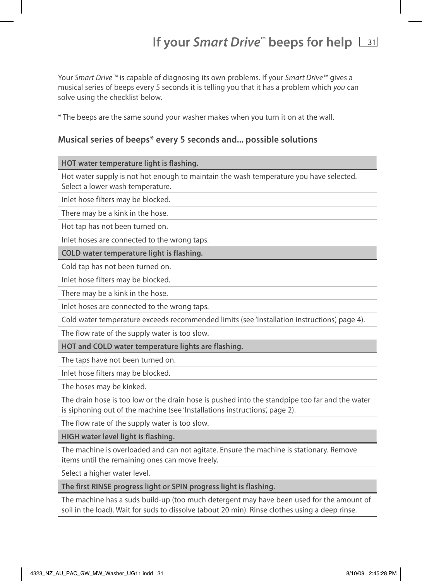# **If your Smart Drive<sup>™</sup> beeps for help**  $\boxed{31}$

Your *Smart Drive™* is capable of diagnosing its own problems. If your *Smart Drive™* gives a musical series of beeps every 5 seconds it is telling you that it has a problem which *you* can solve using the checklist below.

\* The beeps are the same sound your washer makes when you turn it on at the wall.

### **Musical series of beeps\* every 5 seconds and... possible solutions**

### **HOT water temperature light is flashing.**

Hot water supply is not hot enough to maintain the wash temperature you have selected. Select a lower wash temperature.

Inlet hose filters may be blocked.

There may be a kink in the hose.

Hot tap has not been turned on.

Inlet hoses are connected to the wrong taps.

**COLD water temperature light is flashing.**

Cold tap has not been turned on.

Inlet hose filters may be blocked.

There may be a kink in the hose.

Inlet hoses are connected to the wrong taps.

Cold water temperature exceeds recommended limits (see 'Installation instructions', page 4).

The flow rate of the supply water is too slow.

**HOT and COLD water temperature lights are flashing.** 

The taps have not been turned on.

Inlet hose filters may be blocked.

The hoses may be kinked.

The drain hose is too low or the drain hose is pushed into the standpipe too far and the water is siphoning out of the machine (see 'Installations instructions', page 2).

The flow rate of the supply water is too slow.

**HIGH water level light is flashing.**

The machine is overloaded and can not agitate. Ensure the machine is stationary. Remove items until the remaining ones can move freely.

Select a higher water level.

**The first RINSE progress light or SPIN progress light is flashing.**

The machine has a suds build-up (too much detergent may have been used for the amount of soil in the load). Wait for suds to dissolve (about 20 min). Rinse clothes using a deep rinse.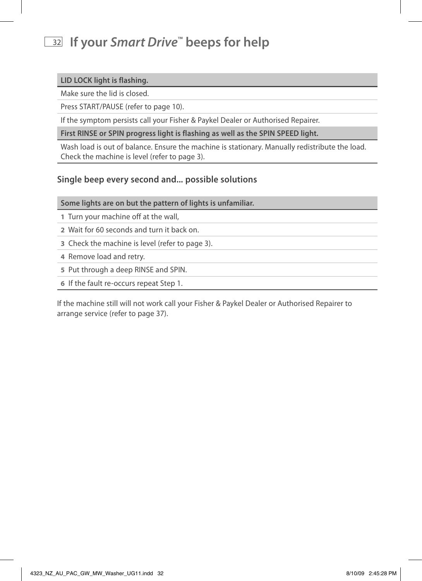# <sup>32</sup> **If your** *Smart Drive***™ beeps for help**

## **LID LOCK light is flashing.**

Make sure the lid is closed.

Press START/PAUSE (refer to page 10).

If the symptom persists call your Fisher & Paykel Dealer or Authorised Repairer.

**First RINSE or SPIN progress light is flashing as well as the SPIN SPEED light.** 

Wash load is out of balance. Ensure the machine is stationary. Manually redistribute the load. Check the machine is level (refer to page 3).

## **Single beep every second and... possible solutions**

**Some lights are on but the pattern of lights is unfamiliar.**

- **1** Turn your machine off at the wall,
- **2** Wait for 60 seconds and turn it back on.
- **3** Check the machine is level (refer to page 3).
- **4** Remove load and retry.
- **5** Put through a deep RINSE and SPIN.
- **6** If the fault re-occurs repeat Step 1.

If the machine still will not work call your Fisher & Paykel Dealer or Authorised Repairer to arrange service (refer to page 37).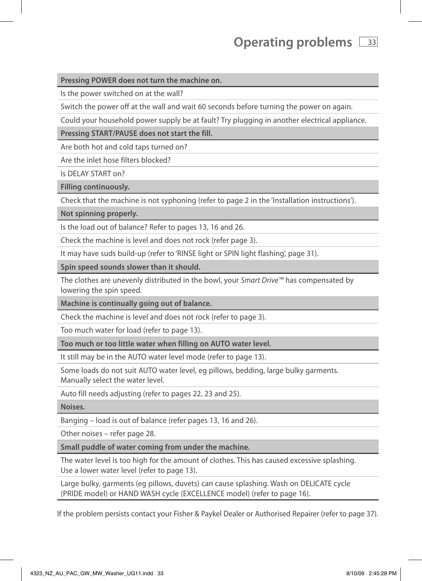# **Operating problems**  $\sqrt{33}$

#### **Pressing POWER does not turn the machine on.**

Is the power switched on at the wall?

Switch the power off at the wall and wait 60 seconds before turning the power on again.

Could your household power supply be at fault? Try plugging in another electrical appliance.

**Pressing START/PAUSE does not start the fill.** 

Are both hot and cold taps turned on?

Are the inlet hose filters blocked?

Is DELAY START on?

**Filling continuously.**

Check that the machine is not syphoning (refer to page 2 in the 'Installation instructions').

**Not spinning properly.**

Is the load out of balance? Refer to pages 13, 16 and 26.

Check the machine is level and does not rock (refer page 3).

It may have suds build-up (refer to 'RINSE light or SPIN light flashing', page 31).

**Spin speed sounds slower than it should.**

The clothes are unevenly distributed in the bowl, your *Smart Drive™* has compensated by lowering the spin speed.

**Machine is continually going out of balance.** 

Check the machine is level and does not rock (refer to page 3).

Too much water for load (refer to page 13).

**Too much or too little water when filling on AUTO water level.**

It still may be in the AUTO water level mode (refer to page 13).

Some loads do not suit AUTO water level, eg pillows, bedding, large bulky garments. Manually select the water level.

Auto fill needs adjusting (refer to pages 22, 23 and 25).

**Noises.**

Banging – load is out of balance (refer pages 13, 16 and 26).

Other noises – refer page 28.

**Small puddle of water coming from under the machine.**

The water level is too high for the amount of clothes. This has caused excessive splashing. Use a lower water level (refer to page 13).

Large bulky, garments (eg pillows, duvets) can cause splashing. Wash on DELICATE cycle (PRIDE model) or HAND WASH cycle (EXCELLENCE model) (refer to page 16).

If the problem persists contact your Fisher & Paykel Dealer or Authorised Repairer (refer to page 37).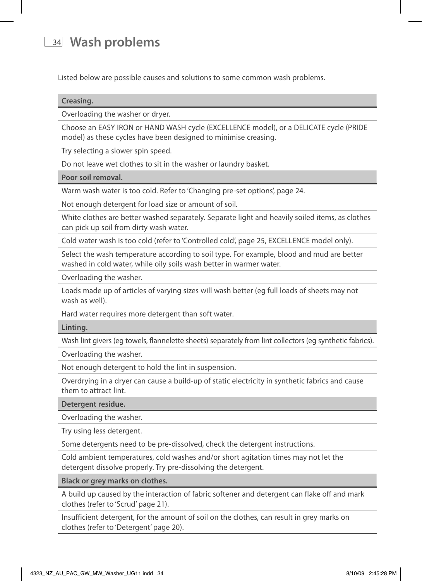# <sup>34</sup> **Wash problems**

Listed below are possible causes and solutions to some common wash problems.

| Creasing. |  |  |  |  |  |
|-----------|--|--|--|--|--|
|           |  |  |  |  |  |

Overloading the washer or dryer.

Choose an EASY IRON or HAND WASH cycle (EXCELLENCE model), or a DELICATE cycle (PRIDE model) as these cycles have been designed to minimise creasing.

Try selecting a slower spin speed.

Do not leave wet clothes to sit in the washer or laundry basket.

#### **Poor soil removal.**

Warm wash water is too cold. Refer to 'Changing pre-set options', page 24.

Not enough detergent for load size or amount of soil.

White clothes are better washed separately. Separate light and heavily soiled items, as clothes can pick up soil from dirty wash water.

Cold water wash is too cold (refer to 'Controlled cold', page 25, EXCELLENCE model only).

Select the wash temperature according to soil type. For example, blood and mud are better washed in cold water, while oily soils wash better in warmer water.

Overloading the washer.

Loads made up of articles of varying sizes will wash better (eg full loads of sheets may not wash as well).

Hard water requires more detergent than soft water.

#### **Linting.**

Wash lint givers (eg towels, flannelette sheets) separately from lint collectors (eg synthetic fabrics).

Overloading the washer.

Not enough detergent to hold the lint in suspension.

Overdrying in a dryer can cause a build-up of static electricity in synthetic fabrics and cause them to attract lint.

**Detergent residue.**

Overloading the washer.

Try using less detergent.

Some detergents need to be pre-dissolved, check the detergent instructions.

Cold ambient temperatures, cold washes and/or short agitation times may not let the detergent dissolve properly. Try pre-dissolving the detergent.

#### **Black or grey marks on clothes.**

A build up caused by the interaction of fabric softener and detergent can flake off and mark clothes (refer to 'Scrud' page 21).

Insufficient detergent, for the amount of soil on the clothes, can result in grey marks on clothes (refer to 'Detergent' page 20).